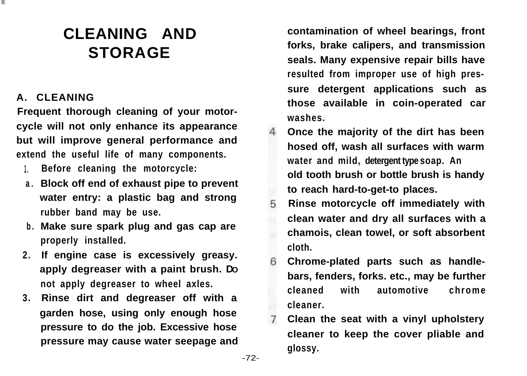# **CLEANING AND STORAGE**

## **A. CLEANING**

**Frequent thorough cleaning of your motorcycle will not only enhance its appearance but will improve general performance and extend the useful life of many components.**

- **1. Before cleaning the motorcycle:**
- **a . Block off end of exhaust pipe to prevent water entry: a plastic bag and strong rubber band may be use.**
- **b . Make sure spark plug and gas cap are properly installed.**
- **2. If engine case is excessively greasy. apply degreaser with a paint brush. DO not apply degreaser to wheel axles.**
- **3. Rinse dirt and degreaser off with a garden hose, using only enough hose pressure to do the job. Excessive hose pressure may cause water seepage and**

**contamination of wheel bearings, front forks, brake calipers, and transmission seals. Many expensive repair bills have resulted from improper use of high pressure detergent applications such as those available in coin-operated car washes.**

- **Once the majority of the dirt has been**  $\Delta$ **hosed off, wash all surfaces with warm water and mild, detergent type soap. An old tooth brush or bottle brush is handy to reach hard-to-get-to places.**
- 5 **Rinse motorcycle off immediately with clean water and dry all surfaces with a chamois, clean towel, or soft absorbent cloth.**
- 6 **Chrome-plated parts such as handlebars, fenders, forks. etc., may be further cleaned with automotive chrome cleaner.**
- **Clean the seat with a vinyl upholstery cleaner to keep the cover pliable and glossy.**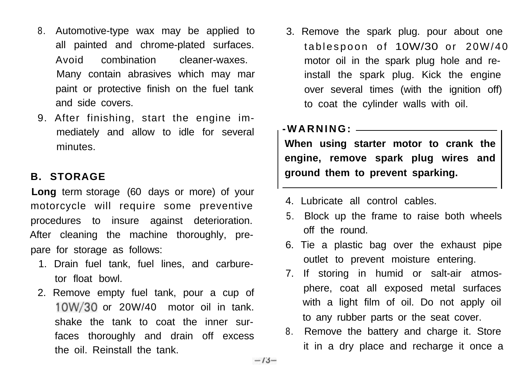- 8. Automotive-type wax may be applied to all painted and chrome-plated surfaces. Avoid combination cleaner-waxes. Many contain abrasives which may mar paint or protective finish on the fuel tank and side covers.
- 9. After finishing, start the engine immediately and allow to idle for several minutes.

### **B. STORAGE**

**Long** term storage (60 days or more) of your motorcycle will require some preventive procedures to insure against deterioration. After cleaning the machine thoroughly, prepare for storage as follows:

- 1. Drain fuel tank, fuel lines, and carburetor float bowl.
- 2. Remove empty fuel tank, pour a cup of  $10W/30$  or 20W/40 motor oil in tank. shake the tank to coat the inner surfaces thoroughly and drain off excess the oil. Reinstall the tank.

3. Remove the spark plug. pour about one tablespoon of 10W/30 or 20W/40 motor oil in the spark plug hole and reinstall the spark plug. Kick the engine over several times (with the ignition off) to coat the cylinder walls with oil.

#### **-WARNING:**

**When using starter motor to crank the engine, remove spark plug wires and ground them to prevent sparking.**

- 4. Lubricate all control cables.
- 5. Block up the frame to raise both wheels off the round.
- 6. Tie a plastic bag over the exhaust pipe outlet to prevent moisture entering.
- 7. If storing in humid or salt-air atmosphere, coat all exposed metal surfaces with a light film of oil. Do not apply oil to any rubber parts or the seat cover.
- 8. Remove the battery and charge it. Store it in a dry place and recharge it once a